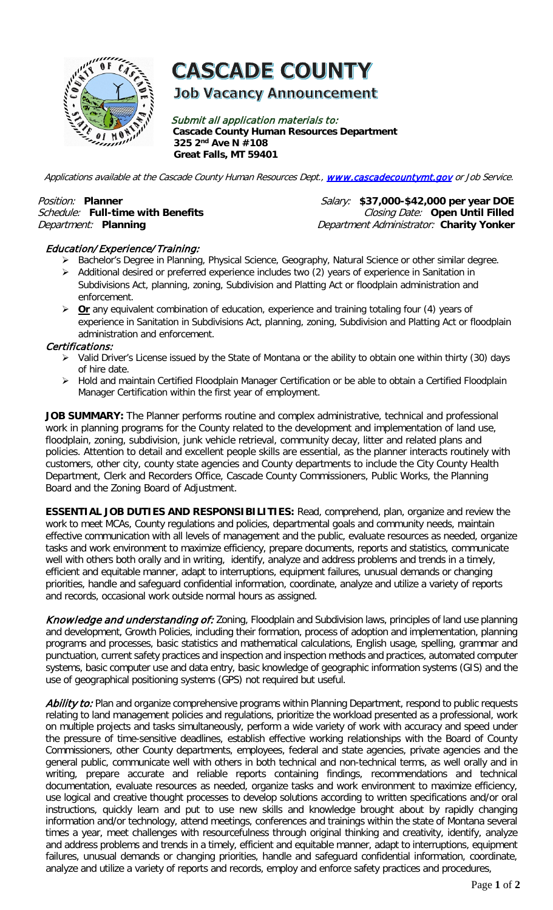

# **CASCADE COUNTY**

## **Job Vacancy Announcement**

Submit all application materials to: **Cascade County Human Resources Department 325 2nd Ave N #108 Great Falls, MT 59401** 

Applications available at the Cascade County Human Resources Dept., [www.cascadecountymt.gov](http://www.cascadecountymt.gov/) or Job Service.

Position: Planner **Prosistive Position:** Planner **Position:** Planner **Position:**  $S_{\text{alary}:}$  \$37,000-\$42,000 per year DOE Schedule: Full-time with Benefits **Closing Date:** Open Until Filled Department: **Planning** Department Administrator: **Charity Yonker**

### Education/ Experience/Training:

- > Bachelor's Degree in Planning, Physical Science, Geography, Natural Science or other similar degree.
- $\triangleright$  Additional desired or preferred experience includes two (2) years of experience in Sanitation in Subdivisions Act, planning, zoning, Subdivision and Platting Act or floodplain administration and enforcement.
- **EX** Or any equivalent combination of education, experience and training totaling four (4) years of experience in Sanitation in Subdivisions Act, planning, zoning, Subdivision and Platting Act or floodplain administration and enforcement.

#### Certifications:

- Valid Driver's License issued by the State of Montana or the ability to obtain one within thirty (30) days of hire date.
- > Hold and maintain Certified Floodplain Manager Certification or be able to obtain a Certified Floodplain Manager Certification within the first year of employment.

JOB SUMMARY: The Planner performs routine and complex administrative, technical and professional work in planning programs for the County related to the development and implementation of land use, floodplain, zoning, subdivision, junk vehicle retrieval, community decay, litter and related plans and policies. Attention to detail and excellent people skills are essential, as the planner interacts routinely with customers, other city, county state agencies and County departments to include the City County Health Department, Clerk and Recorders Office, Cascade County Commissioners, Public Works, the Planning Board and the Zoning Board of Adjustment.

**ESSENTIAL JOB DUTIES AND RESPONSIBILITIES:** Read, comprehend, plan, organize and review the work to meet MCAs, County regulations and policies, departmental goals and community needs, maintain effective communication with all levels of management and the public, evaluate resources as needed, organize tasks and work environment to maximize efficiency, prepare documents, reports and statistics, communicate well with others both orally and in writing, identify, analyze and address problems and trends in a timely, efficient and equitable manner, adapt to interruptions, equipment failures, unusual demands or changing priorities, handle and safeguard confidential information, coordinate, analyze and utilize a variety of reports and records, occasional work outside normal hours as assigned.

Knowledge and understanding of: Zoning, Floodplain and Subdivision laws, principles of land use planning and development, Growth Policies, including their formation, process of adoption and implementation, planning programs and processes, basic statistics and mathematical calculations, English usage, spelling, grammar and punctuation, current safety practices and inspection and inspection methods and practices, automated computer systems, basic computer use and data entry, basic knowledge of geographic information systems (GIS) and the use of geographical positioning systems (GPS) not required but useful.

Ability to: Plan and organize comprehensive programs within Planning Department, respond to public requests relating to land management policies and regulations, prioritize the workload presented as a professional, work on multiple projects and tasks simultaneously, perform a wide variety of work with accuracy and speed under the pressure of time-sensitive deadlines, establish effective working relationships with the Board of County Commissioners, other County departments, employees, federal and state agencies, private agencies and the general public, communicate well with others in both technical and non-technical terms, as well orally and in writing, prepare accurate and reliable reports containing findings, recommendations and technical documentation, evaluate resources as needed, organize tasks and work environment to maximize efficiency, use logical and creative thought processes to develop solutions according to written specifications and/or oral instructions, quickly learn and put to use new skills and knowledge brought about by rapidly changing information and/or technology, attend meetings, conferences and trainings within the state of Montana several times a year, meet challenges with resourcefulness through original thinking and creativity, identify, analyze and address problems and trends in a timely, efficient and equitable manner, adapt to interruptions, equipment failures, unusual demands or changing priorities, handle and safeguard confidential information, coordinate, analyze and utilize a variety of reports and records, employ and enforce safety practices and procedures,